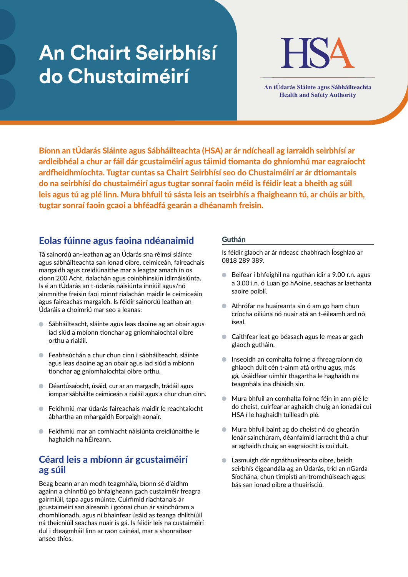# **An Chairt Seirbhísí do Chustaiméirí An tÚdarás Sláinte agus Sábháilteachta**



**Health and Safety Authority**

Bíonn an tÚdarás Sláinte agus Sábháilteachta (HSA) ar ár ndícheall ag iarraidh seirbhísí ar ardleibhéal a chur ar fáil dár gcustaiméirí agus táimid tiomanta do ghníomhú mar eagraíocht ardfheidhmíochta. Tugtar cuntas sa Chairt Seirbhísí seo do Chustaiméirí ar ár dtiomantais do na seirbhísí do chustaiméirí agus tugtar sonraí faoin méid is féidir leat a bheith ag súil leis agus tú ag plé linn. Mura bhfuil tú sásta leis an tseirbhís a fhaigheann tú, ar chúis ar bith, tugtar sonraí faoin gcaoi a bhféadfá gearán a dhéanamh freisin.

## Eolas fúinne agus faoina ndéanaimid

Tá sainordú an-leathan ag an Údarás sna réimsí sláinte agus sábháilteachta san ionad oibre, ceimiceán, faireachais margaidh agus creidiúnaithe mar a leagtar amach in os cionn 200 Acht, rialachán agus coinbhinsiún idirnáisiúnta. Is é an tÚdarás an t-údarás náisiúnta inniúil agus/nó ainmnithe freisin faoi roinnt rialachán maidir le ceimiceáin agus faireachas margaidh. Is féidir sainordú leathan an Údaráis a choimriú mar seo a leanas:

- $\bullet$ Sábháilteacht, sláinte agus leas daoine ag an obair agus iad siúd a mbíonn tionchar ag gníomhaíochtaí oibre orthu a rialáil.
- Feabhsúchán a chur chun cinn i sábháilteacht, sláinte agus leas daoine ag an obair agus iad siúd a mbíonn tionchar ag gníomhaíochtaí oibre orthu.
- Déantúsaíocht, úsáid, cur ar an margadh, trádáil agus iompar sábháilte ceimiceán a rialáil agus a chur chun cinn.
- Feidhmiú mar údarás faireachais maidir le reachtaíocht ábhartha an mhargaidh Eorpaigh aonair.
- Feidhmiú mar an comhlacht náisiúnta creidiúnaithe le  $\blacksquare$ haghaidh na hÉireann.

## Céard leis a mbíonn ár gcustaiméirí ag súil

Beag beann ar an modh teagmhála, bíonn sé d'aidhm againn a chinntiú go bhfaigheann gach custaiméir freagra gairmiúil, tapa agus múinte. Cuirfimid riachtanais ár gcustaiméirí san áireamh i gcónaí chun ár sainchúram a chomhlíonadh, agus ní bhainfear úsáid as teanga dhlíthiúil ná theicniúil seachas nuair is gá. Is féidir leis na custaiméirí dul i dteagmháil linn ar raon cainéal, mar a shonraítear anseo thíos.

## Guthán

Is féidir glaoch ar ár ndeasc chabhrach Íosghlao ar 0818 289 389.

- Beifear i bhfeighil na nguthán idir a 9.00 r.n. agus a 3.00 i.n. ó Luan go hAoine, seachas ar laethanta saoire poiblí.
- Athrófar na huaireanta sin ó am go ham chun críocha oiliúna nó nuair atá an t-éileamh ard nó íseal.
- Caithfear leat go béasach agus le meas ar gach glaoch gutháin.
- Inseoidh an comhalta foirne a fhreagraíonn do ghlaoch duit cén t-ainm atá orthu agus, más gá, úsáidfear uimhir thagartha le haghaidh na teagmhála ina dhiaidh sin.
- Mura bhfuil an comhalta foirne féin in ann plé le do cheist, cuirfear ar aghaidh chuig an ionadaí cuí HSA í le haghaidh tuilleadh plé.
- Mura bhfuil baint ag do cheist nó do ghearán  $\bullet$ lenár sainchúram, déanfaimid iarracht thú a chur ar aghaidh chuig an eagraíocht is cuí duit.
- Lasmuigh dár ngnáthuaireanta oibre, beidh  $\bullet$ seirbhís éigeandála ag an Údarás, tríd an nGarda Síochána, chun timpistí an-tromchúiseach agus bás san ionad oibre a thuairisciú.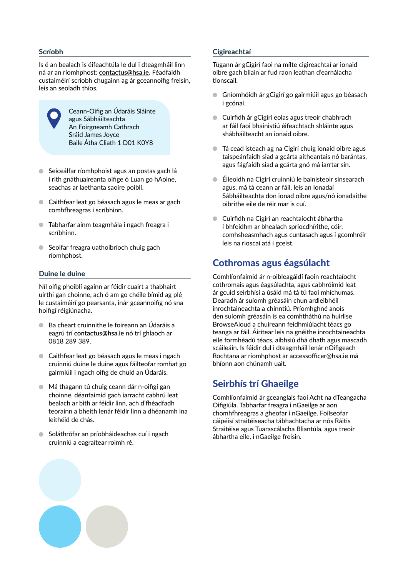#### Scríobh

Is é an bealach is éifeachtúla le dul i dteagmháil linn ná ar an ríomhphost: **contactus@hsa.ie**. Féadfaidh custaiméirí scríobh chugainn ag ár gceannoifig freisin, leis an seoladh thíos.



Ceann-Oifig an Údaráis Sláinte agus Sábháilteachta An Foirgneamh Cathrach Sráid James Joyce Baile Átha Cliath 1 D01 K0Y8

- Seiceálfar ríomhphoist agus an postas gach lá i rith gnáthuaireanta oifige ó Luan go hAoine, seachas ar laethanta saoire poiblí.
- Caithfear leat go béasach agus le meas ar gach comhfhreagras i scríbhinn.
- Tabharfar ainm teagmhála i ngach freagra i scríbhinn.
- Seolfar freagra uathoibríoch chuig gach ríomhphost.

#### Duine le duine

Níl oifig phoiblí againn ar féidir cuairt a thabhairt uirthi gan choinne, ach ó am go chéile bímid ag plé le custaiméirí go pearsanta, inár gceannoifig nó sna hoifigí réigiúnacha.

- Ba cheart cruinnithe le foireann an Údaráis a eagrú trí **contactus@hsa.ie** nó trí ghlaoch ar 0818 289 389.
- Caithfear leat go béasach agus le meas i ngach cruinniú duine le duine agus fáilteofar romhat go gairmiúil i ngach oifig de chuid an Údaráis.
- Má thagann tú chuig ceann dár n-oifigí gan choinne, déanfaimid gach iarracht cabhrú leat bealach ar bith ar féidir linn, ach d'fhéadfadh teorainn a bheith lenár féidir linn a dhéanamh ina leithéid de chás.
- Soláthrófar an príobháideachas cuí i ngach cruinniú a eagraítear roimh ré.

#### **Cigireachtaí**

Tugann ár gCigirí faoi na mílte cigireachtaí ar ionaid oibre gach bliain ar fud raon leathan d'earnálacha tionscail.

- Gníomhóidh ár gCigirí go gairmiúil agus go béasach  $\blacksquare$ i gcónaí.
- Cuirfidh ár gCigirí eolas agus treoir chabhrach ar fáil faoi bhainistiú éifeachtach shláinte agus shábháilteacht an ionaid oibre.
- Tá cead isteach ag na Cigirí chuig ionaid oibre agus taispeánfaidh siad a gcárta aitheantais nó barántas, agus fágfaidh siad a gcárta gnó má iarrtar sin.
- Éileoidh na Cigirí cruinniú le bainisteoir sinsearach agus, má tá ceann ar fáil, leis an Ionadaí Sábháilteachta don ionad oibre agus/nó ionadaithe oibrithe eile de réir mar is cuí.
- Cuirfidh na Cigirí an reachtaíocht ábhartha i bhfeidhm ar bhealach spriocdhírithe, cóir, comhsheasmhach agus cuntasach agus i gcomhréir leis na rioscaí atá i gceist.

## Cothromas agus éagsúlacht

Comhlíonfaimid ár n-oibleagáidí faoin reachtaíocht cothromais agus éagsúlachta, agus cabhróimid leat ár gcuid seirbhísí a úsáid má tá tú faoi mhíchumas. Dearadh ár suíomh gréasáin chun ardleibhéil inrochtaineachta a chinntiú. Príomhghné anois den suíomh gréasáin is ea comhtháthú na huirlise BrowseAloud a chuireann feidhmiúlacht téacs go teanga ar fáil. Áirítear leis na gnéithe inrochtaineachta eile formhéadú téacs, aibhsiú dhá dhath agus mascadh scáileáin. Is féidir dul i dteagmháil lenár nOifigeach Rochtana ar ríomhphost ar accessofficer@hsa.ie má bhíonn aon chúnamh uait.

## Seirbhís trí Ghaeilge

Comhlíonfaimid ár gceanglais faoi Acht na dTeangacha Oifigiúla. Tabharfar freagra i nGaeilge ar aon chomhfhreagras a gheofar i nGaeilge. Foilseofar cáipéisí straitéiseacha tábhachtacha ar nós Ráitis Straitéise agus Tuarascálacha Bliantúla, agus treoir ábhartha eile, i nGaeilge freisin.